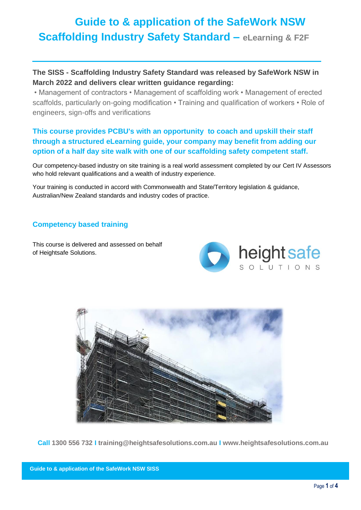# **Guide to & application of the SafeWork NSW Scaffolding Industry Safety Standard – eLearning & F2F**

**The SISS - Scaffolding Industry Safety Standard was released by SafeWork NSW in March 2022 and delivers clear written guidance regarding:**

• Management of contractors • Management of scaffolding work • Management of erected scaffolds, particularly on-going modification • Training and qualification of workers • Role of engineers, sign-offs and verifications

### **This course provides PCBU's with an opportunity to coach and upskill their staff through a structured eLearning guide, your company may benefit from adding our option of a half day site walk with one of our scaffolding safety competent staff.**

Our competency-based industry on site training is a real world assessment completed by our Cert IV Assessors who hold relevant qualifications and a wealth of industry experience.

Your training is conducted in accord with Commonwealth and State/Territory legislation & guidance, Australian/New Zealand standards and industry codes of practice.

#### **Competency based training**

This course is delivered and assessed on behalf of Heightsafe Solutions.





**Call 1300 556 732 I training@heightsafesolutions.com.au I www.heightsafesolutions.com.au**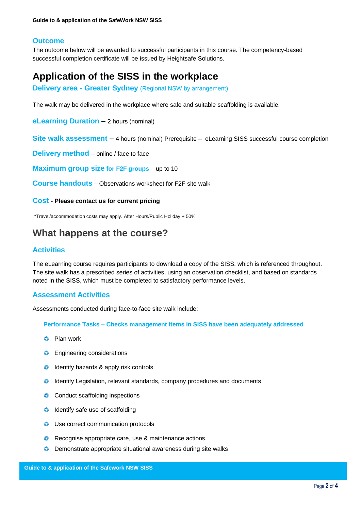#### **Outcome**

The outcome below will be awarded to successful participants in this course. The competency-based successful completion certificate will be issued by Heightsafe Solutions.

# **Application of the SISS in the workplace**

**Delivery area - Greater Sydney** (Regional NSW by arrangement)

The walk may be delivered in the workplace where safe and suitable scaffolding is available.

**eLearning Duration** – 2 hours (nominal)

**Site walk assessment** – 4 hours (nominal) Prerequisite – eLearning SISS successful course completion

**Delivery method** – online / face to face

**Maximum group size for F2F groups** – up to 10

**Course handouts** – Observations worksheet for F2F site walk

**Cost** - **Please contact us for current pricing**

\*Travel/accommodation costs may apply. After Hours/Public Holiday + 50%

## **What happens at the course?**

#### **Activities**

The eLearning course requires participants to download a copy of the SISS, which is referenced throughout. The site walk has a prescribed series of activities, using an observation checklist, and based on standards noted in the SISS, which must be completed to satisfactory performance levels.

#### **Assessment Activities**

Assessments conducted during face-to-face site walk include:

**Performance Tasks – Checks management items in SISS have been adequately addressed**

- **C** Plan work
- **C** Engineering considerations
- **O** Identify hazards & apply risk controls
- Identify Legislation, relevant standards, company procedures and documents
- **C** Conduct scaffolding inspections
- **O** Identify safe use of scaffolding
- **O** Use correct communication protocols
- **C** Recognise appropriate care, use & maintenance actions
- **O** Demonstrate appropriate situational awareness during site walks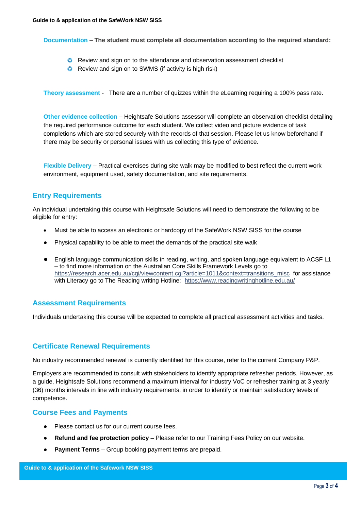**Documentation – The student must complete all documentation according to the required standard:**

- **C** Review and sign on to the attendance and observation assessment checklist
- **C** Review and sign on to SWMS (if activity is high risk)

**Theory assessment** - There are a number of quizzes within the eLearning requiring a 100% pass rate.

**Other evidence collection** – Heightsafe Solutions assessor will complete an observation checklist detailing the required performance outcome for each student. We collect video and picture evidence of task completions which are stored securely with the records of that session. Please let us know beforehand if there may be security or personal issues with us collecting this type of evidence.

**Flexible Delivery** – Practical exercises during site walk may be modified to best reflect the current work environment, equipment used, safety documentation, and site requirements.

#### **Entry Requirements**

An individual undertaking this course with Heightsafe Solutions will need to demonstrate the following to be eligible for entry:

- Must be able to access an electronic or hardcopy of the SafeWork NSW SISS for the course
- Physical capability to be able to meet the demands of the practical site walk
- English language communication skills in reading, writing, and spoken language equivalent to ACSF L1 – to find more information on the Australian Core Skills Framework Levels go to https://research.acer.edu.au/cgi/viewcontent.cgi?article=1011&context=transitions\_misc\_for assistance with Literacy go to The Reading writing Hotline: <https://www.readingwritinghotline.edu.au/>

#### **Assessment Requirements**

Individuals undertaking this course will be expected to complete all practical assessment activities and tasks.

#### **Certificate Renewal Requirements**

No industry recommended renewal is currently identified for this course, refer to the current Company P&P.

Employers are recommended to consult with stakeholders to identify appropriate refresher periods. However, as a guide, Heightsafe Solutions recommend a maximum interval for industry VoC or refresher training at 3 yearly (36) months intervals in line with industry requirements, in order to identify or maintain satisfactory levels of competence.

#### **Course Fees and Payments**

- Please contact us for our current course fees.
- **Refund and fee protection policy** Please refer to our Training Fees Policy on our website.
- **Payment Terms** Group booking payment terms are prepaid.